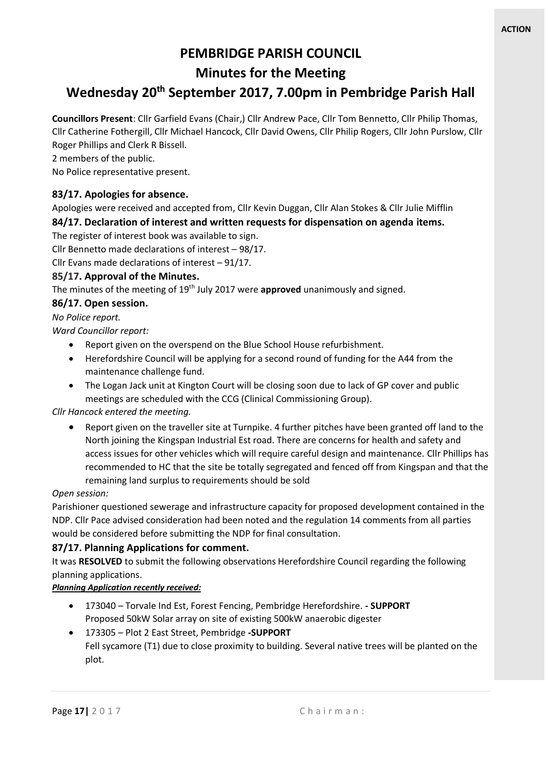# **PEMBRIDGE PARISH COUNCIL**

## **Minutes for the Meeting**

# **Wednesday 20th September 2017, 7.00pm in Pembridge Parish Hall**

**Councillors Present**: Cllr Garfield Evans (Chair,) Cllr Andrew Pace, Cllr Tom Bennetto, Cllr Philip Thomas, Cllr Catherine Fothergill, Cllr Michael Hancock, Cllr David Owens, Cllr Philip Rogers, Cllr John Purslow, Cllr Roger Phillips and Clerk R Bissell.

2 members of the public.

No Police representative present.

#### **83/17. Apologies for absence.**

Apologies were received and accepted from, Cllr Kevin Duggan, Cllr Alan Stokes & Cllr Julie Mifflin **84/17. Declaration of interest and written requests for dispensation on agenda items.**

The register of interest book was available to sign.

Cllr Bennetto made declarations of interest – 98/17.

Cllr Evans made declarations of interest – 91/17.

#### **85/17. Approval of the Minutes.**

The minutes of the meeting of 19th July 2017 were **approved** unanimously and signed.

#### **86/17. Open session.**

*No Police report.*

*Ward Councillor report:*

- Report given on the overspend on the Blue School House refurbishment.
- Herefordshire Council will be applying for a second round of funding for the A44 from the maintenance challenge fund.
- The Logan Jack unit at Kington Court will be closing soon due to lack of GP cover and public meetings are scheduled with the CCG (Clinical Commissioning Group).

#### *Cllr Hancock entered the meeting.*

• Report given on the traveller site at Turnpike. 4 further pitches have been granted off land to the North joining the Kingspan Industrial Est road. There are concerns for health and safety and access issues for other vehicles which will require careful design and maintenance. Cllr Phillips has recommended to HC that the site be totally segregated and fenced off from Kingspan and that the remaining land surplus to requirements should be sold

#### *Open session:*

Parishioner questioned sewerage and infrastructure capacity for proposed development contained in the NDP. Cllr Pace advised consideration had been noted and the regulation 14 comments from all parties would be considered before submitting the NDP for final consultation.

#### **87/17. Planning Applications for comment.**

It was **RESOLVED** to submit the following observations Herefordshire Council regarding the following planning applications.

*Planning Application recently received:*

- 173040 Torvale Ind Est, Forest Fencing, Pembridge Herefordshire. **- SUPPORT** Proposed 50kW Solar array on site of existing 500kW anaerobic digester
- 173305 Plot 2 East Street, Pembridge **-SUPPORT** Fell sycamore (T1) due to close proximity to building. Several native trees will be planted on the plot.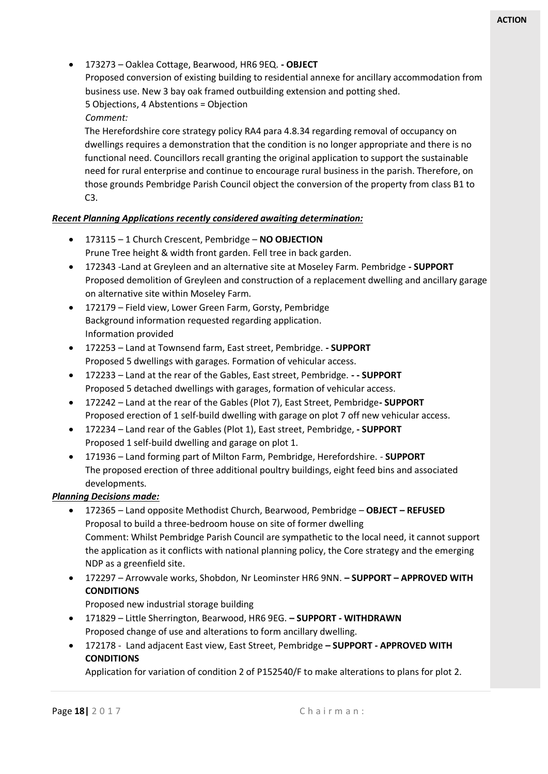• 173273 – Oaklea Cottage, Bearwood, HR6 9EQ. **- OBJECT**

Proposed conversion of existing building to residential annexe for ancillary accommodation from business use. New 3 bay oak framed outbuilding extension and potting shed. 5 Objections, 4 Abstentions = Objection

*Comment:* 

The Herefordshire core strategy policy RA4 para 4.8.34 regarding removal of occupancy on dwellings requires a demonstration that the condition is no longer appropriate and there is no functional need. Councillors recall granting the original application to support the sustainable need for rural enterprise and continue to encourage rural business in the parish. Therefore, on those grounds Pembridge Parish Council object the conversion of the property from class B1 to C3.

#### *Recent Planning Applications recently considered awaiting determination:*

- 173115 1 Church Crescent, Pembridge **NO OBJECTION** Prune Tree height & width front garden. Fell tree in back garden.
- 172343 -Land at Greyleen and an alternative site at Moseley Farm. Pembridge **- SUPPORT** Proposed demolition of Greyleen and construction of a replacement dwelling and ancillary garage on alternative site within Moseley Farm.
- 172179 Field view, Lower Green Farm, Gorsty, Pembridge Background information requested regarding application. Information provided
- 172253 Land at Townsend farm, East street, Pembridge. **- SUPPORT** Proposed 5 dwellings with garages. Formation of vehicular access.
- 172233 Land at the rear of the Gables, East street, Pembridge. **- - SUPPORT** Proposed 5 detached dwellings with garages, formation of vehicular access.
- 172242 Land at the rear of the Gables (Plot 7), East Street, Pembridge**- SUPPORT** Proposed erection of 1 self-build dwelling with garage on plot 7 off new vehicular access.
- 172234 Land rear of the Gables (Plot 1), East street, Pembridge, **- SUPPORT** Proposed 1 self-build dwelling and garage on plot 1.
- 171936 Land forming part of Milton Farm, Pembridge, Herefordshire. **SUPPORT** The proposed erection of three additional poultry buildings, eight feed bins and associated developments.

#### *Planning Decisions made:*

- 172365 Land opposite Methodist Church, Bearwood, Pembridge **OBJECT – REFUSED** Proposal to build a three-bedroom house on site of former dwelling Comment: Whilst Pembridge Parish Council are sympathetic to the local need, it cannot support the application as it conflicts with national planning policy, the Core strategy and the emerging NDP as a greenfield site.
- 172297 Arrowvale works, Shobdon, Nr Leominster HR6 9NN. **– SUPPORT – APPROVED WITH CONDITIONS**

Proposed new industrial storage building

- 171829 Little Sherrington, Bearwood, HR6 9EG. **– SUPPORT - WITHDRAWN** Proposed change of use and alterations to form ancillary dwelling.
- 172178 Land adjacent East view, East Street, Pembridge **– SUPPORT - APPROVED WITH CONDITIONS**

Application for variation of condition 2 of P152540/F to make alterations to plans for plot 2.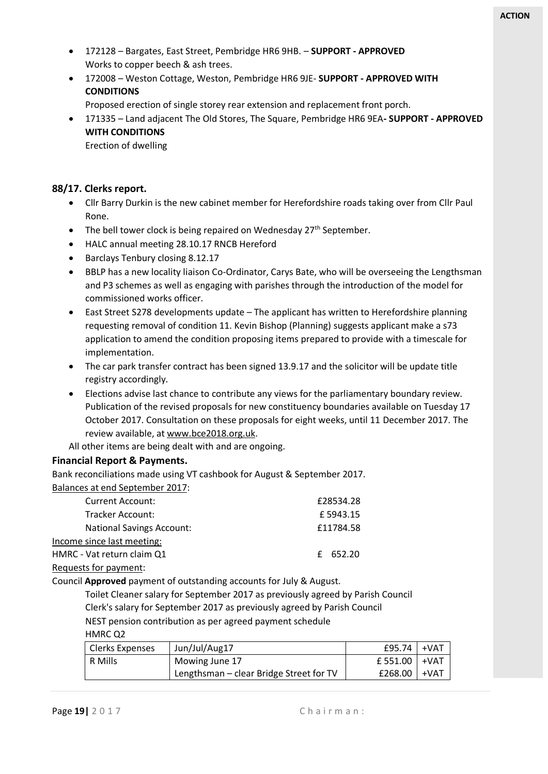- 172128 Bargates, East Street, Pembridge HR6 9HB. **SUPPORT - APPROVED** Works to copper beech & ash trees.
- 172008 Weston Cottage, Weston, Pembridge HR6 9JE- **SUPPORT - APPROVED WITH CONDITIONS**

Proposed erection of single storey rear extension and replacement front porch.

• 171335 – Land adjacent The Old Stores, The Square, Pembridge HR6 9EA**- SUPPORT - APPROVED WITH CONDITIONS**

Erection of dwelling

#### **88/17. Clerks report.**

- Cllr Barry Durkin is the new cabinet member for Herefordshire roads taking over from Cllr Paul Rone.
- The bell tower clock is being repaired on Wednesday  $27<sup>th</sup>$  September.
- HALC annual meeting 28.10.17 RNCB Hereford
- Barclays Tenbury closing 8.12.17
- BBLP has a new locality liaison Co-Ordinator, Carys Bate, who will be overseeing the Lengthsman and P3 schemes as well as engaging with parishes through the introduction of the model for commissioned works officer.
- East Street S278 developments update The applicant has written to Herefordshire planning requesting removal of condition 11. Kevin Bishop (Planning) suggests applicant make a s73 application to amend the condition proposing items prepared to provide with a timescale for implementation.
- The car park transfer contract has been signed 13.9.17 and the solicitor will be update title registry accordingly.
- Elections advise last chance to contribute any views for the parliamentary boundary review. Publication of the revised proposals for new constituency boundaries available on Tuesday 17 October 2017. Consultation on these proposals for eight weeks, until 11 December 2017. The review available, at [www.bce2018.org.uk.](http://www.bce2018.org.uk/)

All other items are being dealt with and are ongoing.

#### **Financial Report & Payments.**

Bank reconciliations made using VT cashbook for August & September 2017. Balances at end September 2017:

| <b>Current Account:</b>          | £28534.28 |  |
|----------------------------------|-----------|--|
| Tracker Account:                 | £5943.15  |  |
| <b>National Savings Account:</b> | £11784.58 |  |
| Income since last meeting:       |           |  |
| HMRC - Vat return claim Q1       | £ 652.20  |  |
| Requests for payment:            |           |  |

Council **Approved** payment of outstanding accounts for July & August.

Toilet Cleaner salary for September 2017 as previously agreed by Parish Council Clerk's salary for September 2017 as previously agreed by Parish Council NEST pension contribution as per agreed payment schedule

HMRC Q2

| <b>Clerks Expenses</b> | Jun/Jul/Aug17                           | £95.74           | +VAT   |
|------------------------|-----------------------------------------|------------------|--------|
| R Mills                | Mowing June 17                          | £ 551.00 + $VAT$ |        |
|                        | Lengthsman - clear Bridge Street for TV | £268.00          | ı +VAT |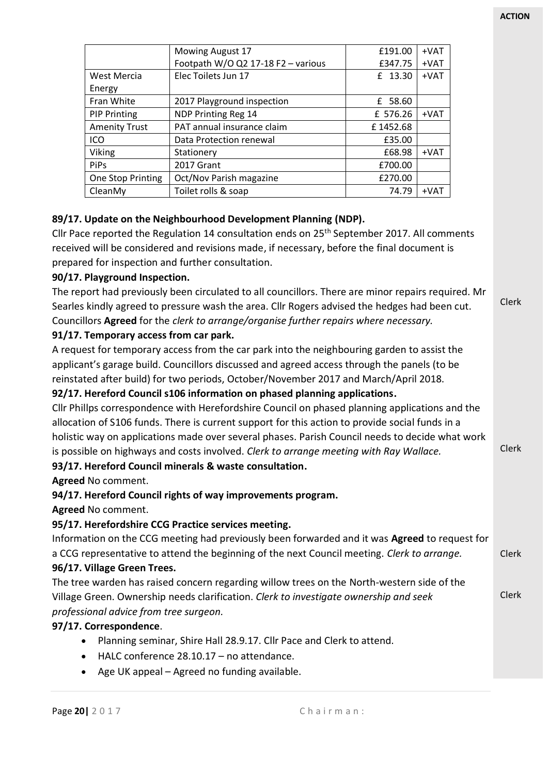Clerk

Clerk

|                      | Mowing August 17                   | £191.00  | +VAT   |
|----------------------|------------------------------------|----------|--------|
|                      | Footpath W/O Q2 17-18 F2 - various | £347.75  | +VAT   |
| <b>West Mercia</b>   | Elec Toilets Jun 17                | £ 13.30  | $+VAT$ |
| Energy               |                                    |          |        |
| Fran White           | 2017 Playground inspection         | £ 58.60  |        |
| <b>PIP Printing</b>  | NDP Printing Reg 14                | £ 576.26 | $+VAT$ |
| <b>Amenity Trust</b> | PAT annual insurance claim         | £1452.68 |        |
| ICO                  | Data Protection renewal            | £35.00   |        |
| Viking               | Stationery                         | £68.98   | $+VAT$ |
| <b>PiPs</b>          | 2017 Grant                         | £700.00  |        |
| One Stop Printing    | Oct/Nov Parish magazine            | £270.00  |        |
| CleanMy              | Toilet rolls & soap                | 74.79    | $+VAT$ |

#### **89/17. Update on the Neighbourhood Development Planning (NDP).**

Cllr Pace reported the Regulation 14 consultation ends on 25<sup>th</sup> September 2017. All comments received will be considered and revisions made, if necessary, before the final document is prepared for inspection and further consultation.

#### **90/17. Playground Inspection.**

The report had previously been circulated to all councillors. There are minor repairs required. Mr Searles kindly agreed to pressure wash the area. Cllr Rogers advised the hedges had been cut. Councillors **Agreed** for the *clerk to arrange/organise further repairs where necessary.*

#### **91/17. Temporary access from car park.**

A request for temporary access from the car park into the neighbouring garden to assist the applicant's garage build. Councillors discussed and agreed access through the panels (to be reinstated after build) for two periods, October/November 2017 and March/April 2018.

#### **92/17. Hereford Council s106 information on phased planning applications.**

Cllr Phillps correspondence with Herefordshire Council on phased planning applications and the allocation of S106 funds. There is current support for this action to provide social funds in a holistic way on applications made over several phases. Parish Council needs to decide what work is possible on highways and costs involved. *Clerk to arrange meeting with Ray Wallace.*

#### **93/17. Hereford Council minerals & waste consultation.**

**Agreed** No comment.

#### **94/17. Hereford Council rights of way improvements program.**

**Agreed** No comment.

#### **95/17. Herefordshire CCG Practice services meeting.**

Clerk Information on the CCG meeting had previously been forwarded and it was **Agreed** to request for a CCG representative to attend the beginning of the next Council meeting. *Clerk to arrange.* **96/17. Village Green Trees.**

#### Clerk The tree warden has raised concern regarding willow trees on the North-western side of the Village Green. Ownership needs clarification. *Clerk to investigate ownership and seek professional advice from tree surgeon.*

#### **97/17. Correspondence**.

- Planning seminar, Shire Hall 28.9.17. Cllr Pace and Clerk to attend.
- HALC conference 28.10.17 no attendance.
- Age UK appeal Agreed no funding available.